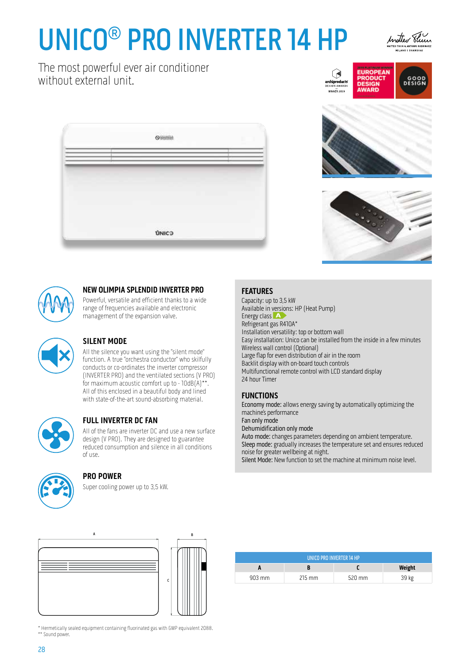# UNICO® PRO INVERTER 14 HP



The most powerful ever air conditioner without external unit.







### **NEW OLIMPIA SPLENDID INVERTER PRO**

Powerful, versatile and efficient thanks to a wide range of frequencies available and electronic management of the expansion valve.



# **SILENT MODE**

All the silence you want using the "silent mode" function. A true "orchestra conductor" who skilfully conducts or co-ordinates the inverter compressor (INVERTER PRO) and the ventilated sections (V PRO) for maximum acoustic comfort up to - 10dB(A)\*\*. All of this enclosed in a beautiful body and lined with state-of-the-art sound-absorbing material.



# **FULL INVERTER DC FAN**

All of the fans are inverter DC and use a new surface design (V PRO). They are designed to guarantee reduced consumption and silence in all conditions of use.

### **PRO POWER**

Super cooling power up to 3,5 kW.

### **FEATURES**

Capacity: up to 3,5 kW Available in versions: HP (Heat Pump) Energy class **A** Refrigerant gas R410A\* Installation versatility: top or bottom wall Easy installation: Unico can be installed from the inside in a few minutes Wireless wall control (Optional) Large flap for even distribution of air in the room Backlit display with on-board touch controls Multifunctional remote control with LCD standard display 24 hour Timer

(1 **chiproduct**<br>SIGN AWARD 

# **FUNCTIONS**

Economy mode: allows energy saving by automatically optimizing the machine's performance Fan only mode Dehumidification only mode Auto mode: changes parameters depending on ambient temperature. Sleep mode: gradually increases the temperature set and ensures reduced noise for greater wellbeing at night. Silent Mode: New function to set the machine at minimum noise level.





| UNICO PRO INVERTER 14 HP |                  |          |        |  |  |  |
|--------------------------|------------------|----------|--------|--|--|--|
|                          |                  |          | Weight |  |  |  |
| $903 \,\mathrm{mm}$      | $215 \text{ mm}$ | $520$ mm | 39 kg  |  |  |  |

\* Hermetically sealed equipment containing fluorinated gas with GWP equivalent 2088. \*\* Sound power.